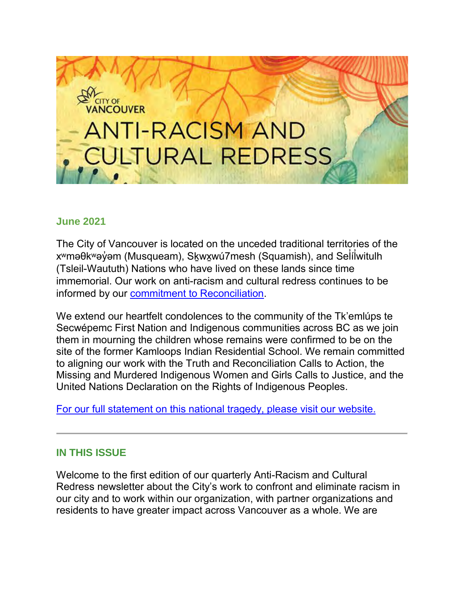# **OUVER ANTI-RACISM AND JLTURAL REDRESS**

#### **June 2021**

The City of Vancouver is located on the unceded traditional territories of the xʷməθkʷəỷəm (Musqueam), S<u>k</u>wx̯wú7mesh (Squamish), and Seİíİwitulh ̓ (Tsleil-Waututh) Nations who have lived on these lands since time immemorial. Our work on anti-racism and cultural redress continues to be informed by our [commitment to Reconciliation.](https://vancouver.ca/people-programs/city-of-reconciliation.aspx)

We extend our heartfelt condolences to the community of the Tk'emlúps te Secwépemc First Nation and Indigenous communities across BC as we join them in mourning the children whose remains were confirmed to be on the site of the former Kamloops Indian Residential School. We remain committed to aligning our work with the Truth and Reconciliation Calls to Action, the Missing and Murdered Indigenous Women and Girls Calls to Justice, and the United Nations Declaration on the Rights of Indigenous Peoples.

[For our full statement on this national tragedy, please visit our website.](https://vancouver.ca/news-calendar/city-s-response-to-the-discovery-of-an-unmarked-grave-at-kamloops-residential-school.aspx)

## **IN THIS ISSUE**

Welcome to the first edition of our quarterly Anti-Racism and Cultural Redress newsletter about the City's work to confront and eliminate racism in our city and to work within our organization, with partner organizations and residents to have greater impact across Vancouver as a whole. We are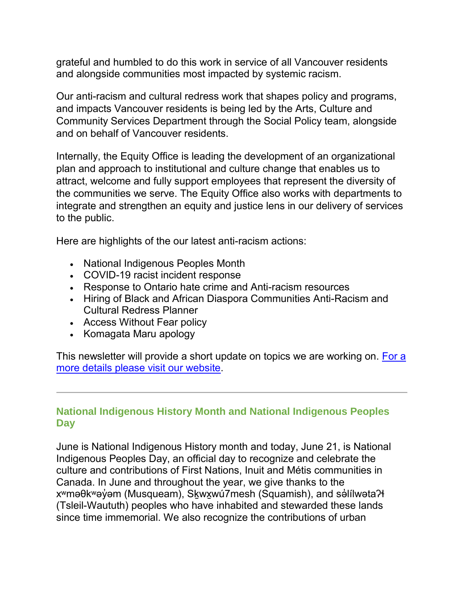grateful and humbled to do this work in service of all Vancouver residents and alongside communities most impacted by systemic racism.

Our anti-racism and cultural redress work that shapes policy and programs, and impacts Vancouver residents is being led by the Arts, Culture and Community Services Department through the Social Policy team, alongside and on behalf of Vancouver residents.

Internally, the Equity Office is leading the development of an organizational plan and approach to institutional and culture change that enables us to attract, welcome and fully support employees that represent the diversity of the communities we serve. The Equity Office also works with departments to integrate and strengthen an equity and justice lens in our delivery of services to the public.

Here are highlights of the our latest anti-racism actions:

- National Indigenous Peoples Month
- COVID-19 racist incident response
- Response to Ontario hate crime and Anti-racism resources
- Hiring of Black and African Diaspora Communities Anti-Racism and Cultural Redress Planner
- Access Without Fear policy
- Komagata Maru apology

This newsletter will provide a short update on topics we are working on. For a [more details please visit our website.](https://vancouver.ca/people-programs/anti-racism.aspx)

## **National Indigenous History Month and National Indigenous Peoples Day**

June is National Indigenous History month and today, June 21, is National Indigenous Peoples Day, an official day to recognize and celebrate the culture and contributions of First Nations, Inuit and Métis communities in Canada. In June and throughout the year, we give thanks to the x<sup>w</sup>məθk<sup>w</sup>əy̓əm (Musqueam), Skwxwú7mesh (Squamish), and səlilwəta?ł (Tsleil-Waututh) peoples who have inhabited and stewarded these lands since time immemorial. We also recognize the contributions of urban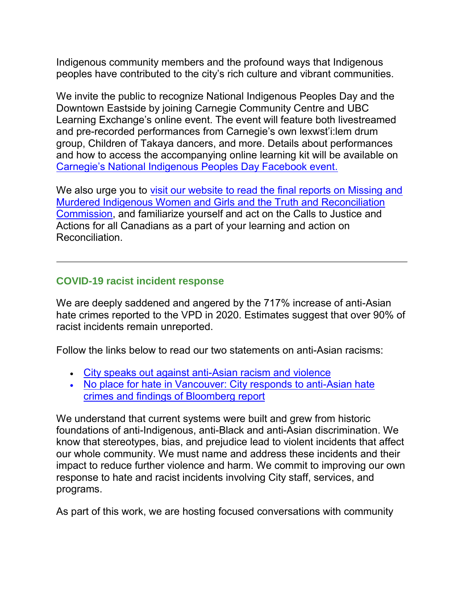Indigenous community members and the profound ways that Indigenous peoples have contributed to the city's rich culture and vibrant communities.

We invite the public to recognize National Indigenous Peoples Day and the Downtown Eastside by joining Carnegie Community Centre and UBC Learning Exchange's online event. The event will feature both livestreamed and pre-recorded performances from Carnegie's own lexwst'i:lem drum group, Children of Takaya dancers, and more. Details about performances and how to access the accompanying online learning kit will be available on [Carnegie's National Indigenous Peoples Day Facebook event.](https://m.facebook.com/events/954620868342609?acontext=%7B%22action_history%22%3A%22%5b%7B%5C%22surface%5C%22%3A%5C%22page%5C%22%2C%5C%22mechanism%5C%22%3A%5C%22main_list%5C%22%2C%5C%22extra_data%5C%22%3A%5b%5d%7D%5d%22%7D&aref=0&ref=page_internal)

We also urge you to [visit our website to read the final reports on Missing and](https://vancouver.ca/people-programs/anti-racism-updates.aspx)  [Murdered Indigenous Women and Girls](https://vancouver.ca/people-programs/anti-racism-updates.aspx) and the Truth and Reconciliation [Commission,](https://vancouver.ca/people-programs/anti-racism-updates.aspx) and familiarize yourself and act on the Calls to Justice and Actions for all Canadians as a part of your learning and action on Reconciliation.

#### **COVID-19 racist incident response**

We are deeply saddened and angered by the 717% increase of anti-Asian hate crimes reported to the VPD in 2020. Estimates suggest that over 90% of racist incidents remain unreported.

Follow the links below to read our two statements on anti-Asian racisms:

- [City speaks out against anti-Asian racism and violence](https://vancouver.ca/news-calendar/city-speaks-out-against-anti-asian-racism-and-violence.aspx)
- [No place for hate in Vancouver: City responds to anti-Asian hate](https://vancouver.ca/news-calendar/no-place-for-hate-in-vancouver-city-responds-to-anti-asian-hate-crimes-and-findings-of-bloomberg-report.aspx)  [crimes and findings of Bloomberg report](https://vancouver.ca/news-calendar/no-place-for-hate-in-vancouver-city-responds-to-anti-asian-hate-crimes-and-findings-of-bloomberg-report.aspx)

We understand that current systems were built and grew from historic foundations of anti-Indigenous, anti-Black and anti-Asian discrimination. We know that stereotypes, bias, and prejudice lead to violent incidents that affect our whole community. We must name and address these incidents and their impact to reduce further violence and harm. We commit to improving our own response to hate and racist incidents involving City staff, services, and programs.

As part of this work, we are hosting focused conversations with community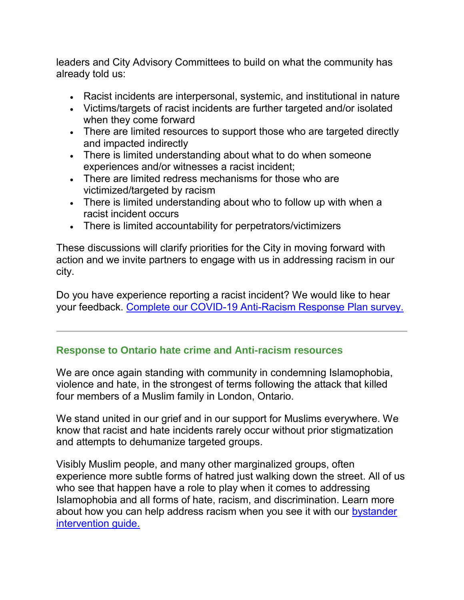leaders and City Advisory Committees to build on what the community has already told us:

- Racist incidents are interpersonal, systemic, and institutional in nature
- Victims/targets of racist incidents are further targeted and/or isolated when they come forward
- There are limited resources to support those who are targeted directly and impacted indirectly
- There is limited understanding about what to do when someone experiences and/or witnesses a racist incident;
- There are limited redress mechanisms for those who are victimized/targeted by racism
- There is limited understanding about who to follow up with when a racist incident occurs
- There is limited accountability for perpetrators/victimizers

These discussions will clarify priorities for the City in moving forward with action and we invite partners to engage with us in addressing racism in our city.

Do you have experience reporting a racist incident? We would like to hear your feedback. [Complete our COVID-19 Anti-Racism Response Plan survey.](https://survey.vancouver.ca/s3/COVID-19-Anti-Racism-Response-Plan)

#### **Response to Ontario hate crime and Anti-racism resources**

We are once again standing with community in condemning Islamophobia, violence and hate, in the strongest of terms following the attack that killed four members of a Muslim family in London, Ontario.

We stand united in our grief and in our support for Muslims everywhere. We know that racist and hate incidents rarely occur without prior stigmatization and attempts to dehumanize targeted groups.

Visibly Muslim people, and many other marginalized groups, often experience more subtle forms of hatred just walking down the street. All of us who see that happen have a role to play when it comes to addressing Islamophobia and all forms of hate, racism, and discrimination. Learn more about how you can help address racism when you see it with our bystander [intervention guide.](https://vancouver.ca/files/cov/bystander-intervention-guide.pdf)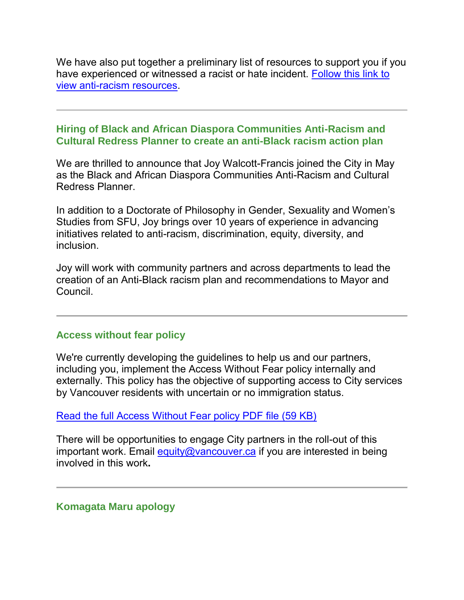We have also put together a preliminary list of resources to support you if you have experienced or witnessed a racist or hate incident. [Follow this link to](https://vancouver.ca/people-programs/anti-racism.aspx#reporting)  [view anti-racism resources.](https://vancouver.ca/people-programs/anti-racism.aspx#reporting)

#### **Hiring of Black and African Diaspora Communities Anti-Racism and Cultural Redress Planner to create an anti-Black racism action plan**

We are thrilled to announce that Joy Walcott-Francis joined the City in May as the Black and African Diaspora Communities Anti-Racism and Cultural Redress Planner.

In addition to a Doctorate of Philosophy in Gender, Sexuality and Women's Studies from SFU, Joy brings over 10 years of experience in advancing initiatives related to anti-racism, discrimination, equity, diversity, and inclusion.

Joy will work with community partners and across departments to lead the creation of an Anti-Black racism plan and recommendations to Mayor and Council.

## **Access without fear policy**

We're currently developing the guidelines to help us and our partners, including you, implement the Access Without Fear policy internally and externally. This policy has the objective of supporting access to City services by Vancouver residents with uncertain or no immigration status.

[Read the full Access Without Fear policy PDF file \(59 KB\)](https://policy.vancouver.ca/COUN003.pdf)

There will be opportunities to engage City partners in the roll-out of this important work. Email [equity@vancouver.ca](mailto:equity@vancouver.ca) if you are interested in being involved in this work**.**

#### **Komagata Maru apology**